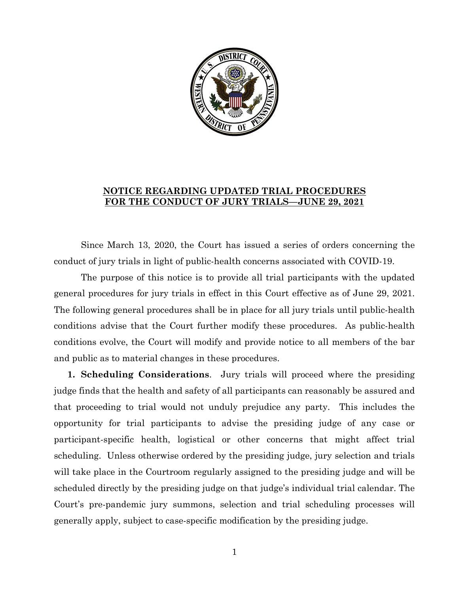

## **NOTICE REGARDING UPDATED TRIAL PROCEDURES FOR THE CONDUCT OF JURY TRIALS—JUNE 29, 2021**

Since March 13, 2020, the Court has issued a series of orders concerning the conduct of jury trials in light of public-health concerns associated with COVID-19.

The purpose of this notice is to provide all trial participants with the updated general procedures for jury trials in effect in this Court effective as of June 29, 2021. The following general procedures shall be in place for all jury trials until public-health conditions advise that the Court further modify these procedures. As public-health conditions evolve, the Court will modify and provide notice to all members of the bar and public as to material changes in these procedures.

**1. Scheduling Considerations**. Jury trials will proceed where the presiding judge finds that the health and safety of all participants can reasonably be assured and that proceeding to trial would not unduly prejudice any party. This includes the opportunity for trial participants to advise the presiding judge of any case or participant-specific health, logistical or other concerns that might affect trial scheduling. Unless otherwise ordered by the presiding judge, jury selection and trials will take place in the Courtroom regularly assigned to the presiding judge and will be scheduled directly by the presiding judge on that judge's individual trial calendar. The Court's pre-pandemic jury summons, selection and trial scheduling processes will generally apply, subject to case-specific modification by the presiding judge.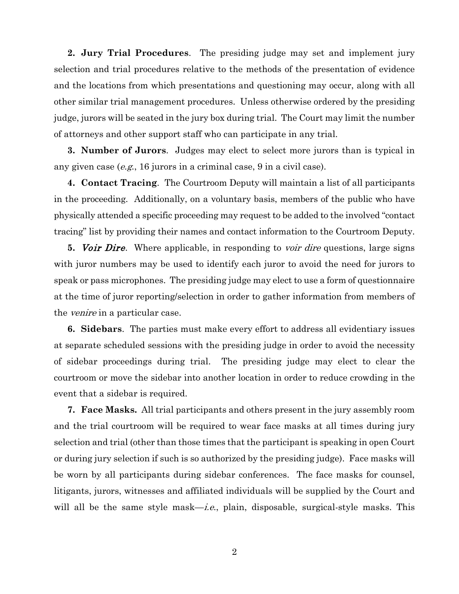**2. Jury Trial Procedures**. The presiding judge may set and implement jury selection and trial procedures relative to the methods of the presentation of evidence and the locations from which presentations and questioning may occur, along with all other similar trial management procedures. Unless otherwise ordered by the presiding judge, jurors will be seated in the jury box during trial. The Court may limit the number of attorneys and other support staff who can participate in any trial.

**3. Number of Jurors**. Judges may elect to select more jurors than is typical in any given case (e.g., 16 jurors in a criminal case, 9 in a civil case).

**4. Contact Tracing**. The Courtroom Deputy will maintain a list of all participants in the proceeding. Additionally, on a voluntary basis, members of the public who have physically attended a specific proceeding may request to be added to the involved "contact tracing" list by providing their names and contact information to the Courtroom Deputy.

**5.** Voir Dire. Where applicable, in responding to voir dire questions, large signs with juror numbers may be used to identify each juror to avoid the need for jurors to speak or pass microphones. The presiding judge may elect to use a form of questionnaire at the time of juror reporting/selection in order to gather information from members of the *venire* in a particular case.

**6. Sidebars**. The parties must make every effort to address all evidentiary issues at separate scheduled sessions with the presiding judge in order to avoid the necessity of sidebar proceedings during trial. The presiding judge may elect to clear the courtroom or move the sidebar into another location in order to reduce crowding in the event that a sidebar is required.

**7. Face Masks.** All trial participants and others present in the jury assembly room and the trial courtroom will be required to wear face masks at all times during jury selection and trial (other than those times that the participant is speaking in open Court or during jury selection if such is so authorized by the presiding judge). Face masks will be worn by all participants during sidebar conferences. The face masks for counsel, litigants, jurors, witnesses and affiliated individuals will be supplied by the Court and will all be the same style mask—*i.e.*, plain, disposable, surgical-style masks. This